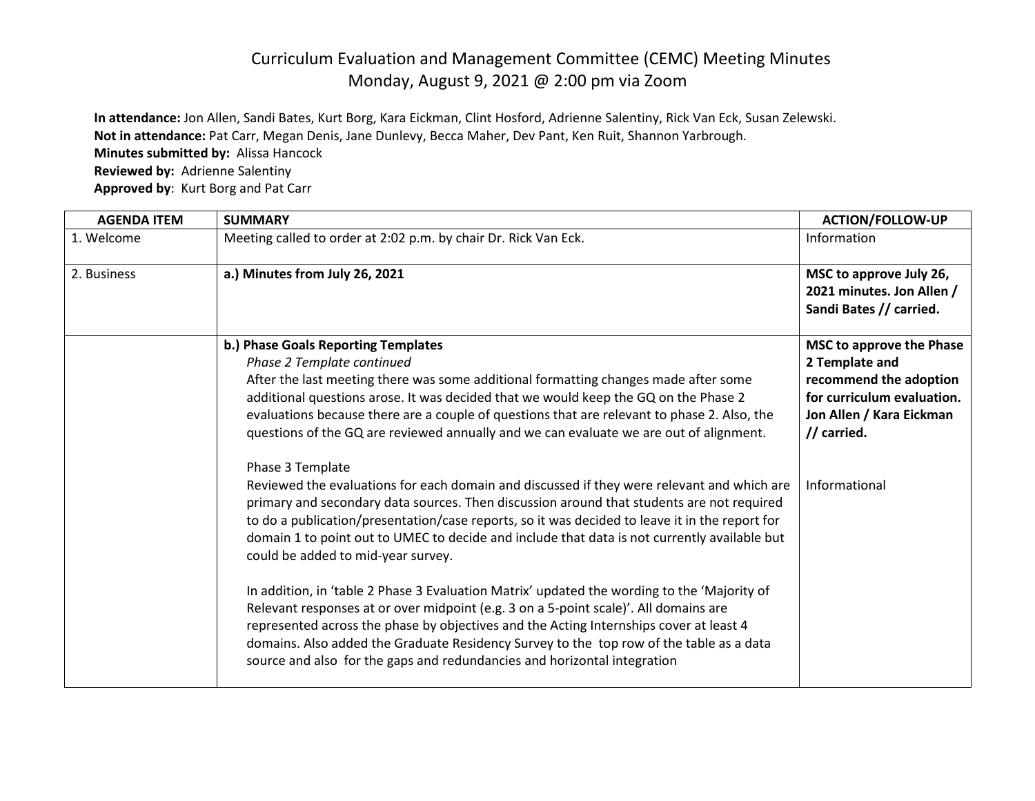## Curriculum Evaluation and Management Committee (CEMC) Meeting Minutes Monday, August 9, 2021 @ 2:00 pm via Zoom

**In attendance:** Jon Allen, Sandi Bates, Kurt Borg, Kara Eickman, Clint Hosford, Adrienne Salentiny, Rick Van Eck, Susan Zelewski. **Not in attendance:** Pat Carr, Megan Denis, Jane Dunlevy, Becca Maher, Dev Pant, Ken Ruit, Shannon Yarbrough. **Minutes submitted by:** Alissa Hancock **Reviewed by:** Adrienne Salentiny **Approved by**: Kurt Borg and Pat Carr

| <b>AGENDA ITEM</b> | <b>SUMMARY</b>                                                                                                                                                                        | <b>ACTION/FOLLOW-UP</b>                                                         |
|--------------------|---------------------------------------------------------------------------------------------------------------------------------------------------------------------------------------|---------------------------------------------------------------------------------|
| 1. Welcome         | Meeting called to order at 2:02 p.m. by chair Dr. Rick Van Eck.                                                                                                                       | Information                                                                     |
| 2. Business        | a.) Minutes from July 26, 2021                                                                                                                                                        | MSC to approve July 26,<br>2021 minutes. Jon Allen /<br>Sandi Bates // carried. |
|                    | b.) Phase Goals Reporting Templates                                                                                                                                                   | MSC to approve the Phase                                                        |
|                    | Phase 2 Template continued                                                                                                                                                            | 2 Template and                                                                  |
|                    | After the last meeting there was some additional formatting changes made after some                                                                                                   | recommend the adoption                                                          |
|                    | additional questions arose. It was decided that we would keep the GQ on the Phase 2                                                                                                   | for curriculum evaluation.                                                      |
|                    | evaluations because there are a couple of questions that are relevant to phase 2. Also, the<br>questions of the GQ are reviewed annually and we can evaluate we are out of alignment. | Jon Allen / Kara Eickman<br>// carried.                                         |
|                    |                                                                                                                                                                                       |                                                                                 |
|                    | Phase 3 Template                                                                                                                                                                      |                                                                                 |
|                    | Reviewed the evaluations for each domain and discussed if they were relevant and which are                                                                                            | Informational                                                                   |
|                    | primary and secondary data sources. Then discussion around that students are not required                                                                                             |                                                                                 |
|                    | to do a publication/presentation/case reports, so it was decided to leave it in the report for                                                                                        |                                                                                 |
|                    | domain 1 to point out to UMEC to decide and include that data is not currently available but<br>could be added to mid-year survey.                                                    |                                                                                 |
|                    | In addition, in 'table 2 Phase 3 Evaluation Matrix' updated the wording to the 'Majority of                                                                                           |                                                                                 |
|                    | Relevant responses at or over midpoint (e.g. 3 on a 5-point scale)'. All domains are                                                                                                  |                                                                                 |
|                    | represented across the phase by objectives and the Acting Internships cover at least 4                                                                                                |                                                                                 |
|                    | domains. Also added the Graduate Residency Survey to the top row of the table as a data<br>source and also for the gaps and redundancies and horizontal integration                   |                                                                                 |
|                    |                                                                                                                                                                                       |                                                                                 |